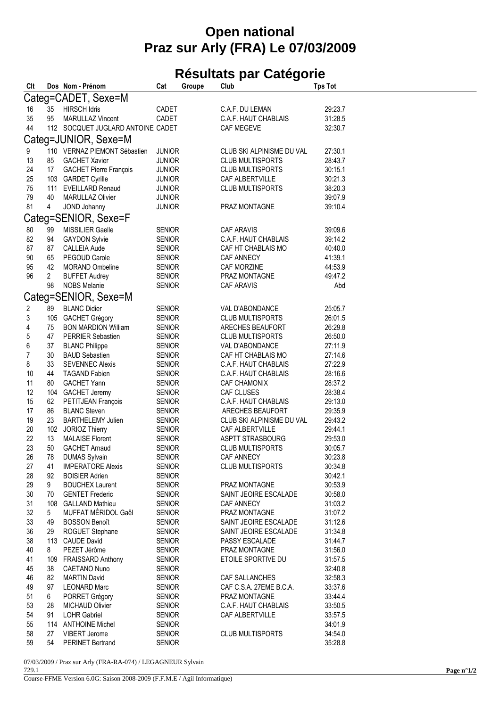## **Open national Praz sur Arly (FRA) Le 07/03/2009**

## **Résultats par Catégorie**

| Clt                     |              | Dos Nom - Prénom                  | Cat           | Groupe | Club                      | <b>Tps Tot</b> |
|-------------------------|--------------|-----------------------------------|---------------|--------|---------------------------|----------------|
|                         |              | Categ=CADET, Sexe=M               |               |        |                           |                |
| 16                      | 35           | <b>HIRSCH Idris</b>               | CADET         |        | C.A.F. DU LEMAN           | 29:23.7        |
| 35                      | 95           | <b>MARULLAZ Vincent</b>           | CADET         |        | C.A.F. HAUT CHABLAIS      | 31:28.5        |
| 44                      |              | 112 SOCQUET JUGLARD ANTOINE CADET |               |        | CAF MEGEVE                | 32:30.7        |
|                         |              | Categ=JUNIOR, Sexe=M              |               |        |                           |                |
| 9                       |              | 110 VERNAZ PIEMONT Sébastien      | <b>JUNIOR</b> |        | CLUB SKI ALPINISME DU VAL | 27:30.1        |
| 13                      | 85           | <b>GACHET Xavier</b>              | <b>JUNIOR</b> |        | <b>CLUB MULTISPORTS</b>   | 28:43.7        |
| 24                      |              |                                   |               |        | <b>CLUB MULTISPORTS</b>   | 30:15.1        |
|                         | 17           | <b>GACHET Pierre François</b>     | <b>JUNIOR</b> |        |                           | 30:21.3        |
| 25                      |              | 103 GARDET Cyrille                | <b>JUNIOR</b> |        | CAF ALBERTVILLE           |                |
| 75                      |              | 111 EVEILLARD Renaud              | <b>JUNIOR</b> |        | <b>CLUB MULTISPORTS</b>   | 38:20.3        |
| 79                      | 40           | <b>MARULLAZ Olivier</b>           | <b>JUNIOR</b> |        |                           | 39:07.9        |
| 81                      | 4            | JOND Johanny                      | <b>JUNIOR</b> |        | PRAZ MONTAGNE             | 39:10.4        |
|                         |              | Categ=SENIOR, Sexe=F              |               |        |                           |                |
| 80                      | 99           | MISSILIER Gaelle                  | <b>SENIOR</b> |        | <b>CAF ARAVIS</b>         | 39:09.6        |
| 82                      | 94           | <b>GAYDON Sylvie</b>              | <b>SENIOR</b> |        | C.A.F. HAUT CHABLAIS      | 39:14.2        |
| 87                      | 87           | <b>CALLEIA Aude</b>               | <b>SENIOR</b> |        | CAF HT CHABLAIS MO        | 40:40.0        |
| 90                      | 65           | PEGOUD Carole                     | <b>SENIOR</b> |        | CAF ANNECY                | 41:39.1        |
| 95                      | 42           | <b>MORAND Ombeline</b>            | <b>SENIOR</b> |        | CAF MORZINE               | 44:53.9        |
| 96                      | $\mathbf{2}$ | <b>BUFFET Audrey</b>              | <b>SENIOR</b> |        | PRAZ MONTAGNE             | 49:47.2        |
|                         | 98           | <b>NOBS Melanie</b>               | <b>SENIOR</b> |        | <b>CAF ARAVIS</b>         | Abd            |
|                         |              | Categ=SENIOR, Sexe=M              |               |        |                           |                |
| $\overline{\mathbf{c}}$ | 89           | <b>BLANC Didier</b>               | <b>SENIOR</b> |        | VAL D'ABONDANCE           | 25:05.7        |
| 3                       |              | 105 GACHET Grégory                | <b>SENIOR</b> |        | <b>CLUB MULTISPORTS</b>   | 26:01.5        |
| 4                       | 75           | <b>BON MARDION William</b>        | <b>SENIOR</b> |        | ARECHES BEAUFORT          | 26:29.8        |
| 5                       | 47           | <b>PERRIER Sebastien</b>          | <b>SENIOR</b> |        | <b>CLUB MULTISPORTS</b>   | 26:50.0        |
| 6                       | 37           | <b>BLANC Philippe</b>             | <b>SENIOR</b> |        | VAL D'ABONDANCE           | 27:11.9        |
| $\overline{7}$          | 30           | <b>BAUD Sebastien</b>             | <b>SENIOR</b> |        | CAF HT CHABLAIS MO        | 27:14.6        |
| 8                       | 33           | <b>SEVENNEC Alexis</b>            | <b>SENIOR</b> |        | C.A.F. HAUT CHABLAIS      | 27:22.9        |
| 10                      | 44           | <b>TAGAND Fabien</b>              | <b>SENIOR</b> |        | C.A.F. HAUT CHABLAIS      | 28:16.6        |
| 11                      | 80           | <b>GACHET Yann</b>                |               |        | <b>CAF CHAMONIX</b>       | 28:37.2        |
|                         |              |                                   | <b>SENIOR</b> |        |                           |                |
| 12                      | 104          | <b>GACHET Jeremy</b>              | <b>SENIOR</b> |        | CAF CLUSES                | 28:38.4        |
| 15                      | 62           | PETITJEAN François                | <b>SENIOR</b> |        | C.A.F. HAUT CHABLAIS      | 29:13.0        |
| 17                      | 86           | <b>BLANC Steven</b>               | <b>SENIOR</b> |        | ARECHES BEAUFORT          | 29:35.9        |
| 19                      | 23           | <b>BARTHELEMY Julien</b>          | <b>SENIOR</b> |        | CLUB SKI ALPINISME DU VAL | 29:43.2        |
| 20                      | 102          | JORIOZ Thierry                    | <b>SENIOR</b> |        | CAF ALBERTVILLE           | 29:44.1        |
| 22                      | 13           | <b>MALAISE Florent</b>            | <b>SENIOR</b> |        | ASPTT STRASBOURG          | 29:53.0        |
| 23                      | 50           | <b>GACHET Arnaud</b>              | <b>SENIOR</b> |        | <b>CLUB MULTISPORTS</b>   | 30:05.7        |
| 26                      | 78           | <b>DUMAS Sylvain</b>              | <b>SENIOR</b> |        | CAF ANNECY                | 30:23.8        |
| 27                      | 41           | <b>IMPERATORE Alexis</b>          | <b>SENIOR</b> |        | CLUB MULTISPORTS          | 30:34.8        |
| 28                      | 92           | <b>BOISIER Adrien</b>             | SENIOR        |        |                           | 30:42.1        |
| 29                      | 9            | <b>BOUCHEX Laurent</b>            | <b>SENIOR</b> |        | PRAZ MONTAGNE             | 30:53.9        |
| 30                      | 70           | <b>GENTET Frederic</b>            | <b>SENIOR</b> |        | SAINT JEOIRE ESCALADE     | 30:58.0        |
| 31                      | 108          | <b>GALLAND Mathieu</b>            | <b>SENIOR</b> |        | <b>CAF ANNECY</b>         | 31:03.2        |
| 32                      | 5            | MUFFAT MÉRIDOL Gaël               | <b>SENIOR</b> |        | PRAZ MONTAGNE             | 31:07.2        |
| 33                      | 49           | <b>BOSSON Benoît</b>              | <b>SENIOR</b> |        | SAINT JEOIRE ESCALADE     | 31:12.6        |
| 36                      | 29           | ROGUET Stephane                   | <b>SENIOR</b> |        | SAINT JEOIRE ESCALADE     | 31:34.8        |
| 38                      |              | 113 CAUDE David                   | <b>SENIOR</b> |        | PASSY ESCALADE            | 31:44.7        |
| 40                      | 8            | PEZET Jérôme                      | <b>SENIOR</b> |        | PRAZ MONTAGNE             | 31:56.0        |
| 41                      | 109          | <b>FRAISSARD Anthony</b>          | <b>SENIOR</b> |        | ETOILE SPORTIVE DU        | 31:57.5        |
| 45                      | 38           | CAETANO Nuno                      | <b>SENIOR</b> |        |                           | 32:40.8        |
| 46                      | 82           | <b>MARTIN David</b>               | <b>SENIOR</b> |        | CAF SALLANCHES            | 32:58.3        |
| 49                      | 97           | <b>LEONARD Marc</b>               | <b>SENIOR</b> |        | CAF C.S.A. 27EME B.C.A.   | 33:37.6        |
| 51                      | 6            | PORRET Grégory                    | <b>SENIOR</b> |        | PRAZ MONTAGNE             | 33:44.4        |
| 53                      | 28           | <b>MICHAUD Olivier</b>            | <b>SENIOR</b> |        | C.A.F. HAUT CHABLAIS      | 33:50.5        |
| 54                      | 91           | <b>LOHR Gabriel</b>               | <b>SENIOR</b> |        | CAF ALBERTVILLE           | 33:57.5        |
| 55                      | 114          | <b>ANTHOINE Michel</b>            | <b>SENIOR</b> |        |                           | 34:01.9        |
| 58                      | 27           | VIBERT Jerome                     | <b>SENIOR</b> |        | <b>CLUB MULTISPORTS</b>   | 34:54.0        |
| 59                      | 54           | <b>PERINET Bertrand</b>           | <b>SENIOR</b> |        |                           | 35:28.8        |
|                         |              |                                   |               |        |                           |                |

07/03/2009 / Praz sur Arly (FRA-RA-074) / LEGAGNEUR Sylvain

729.1